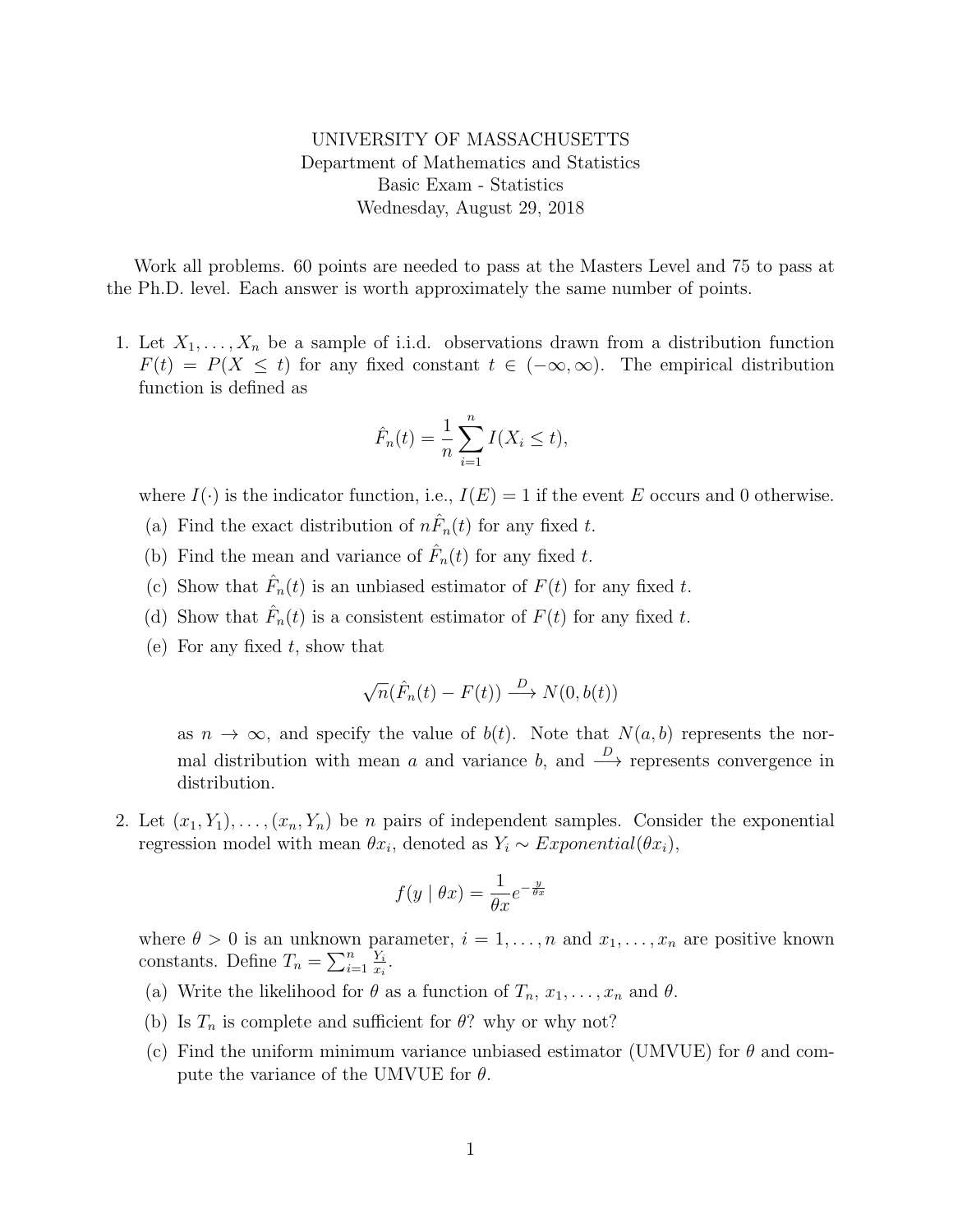UNIVERSITY OF MASSACHUSETTS Department of Mathematics and Statistics Basic Exam - Statistics Wednesday, August 29, 2018

Work all problems. 60 points are needed to pass at the Masters Level and 75 to pass at the Ph.D. level. Each answer is worth approximately the same number of points.

1. Let  $X_1, \ldots, X_n$  be a sample of i.i.d. observations drawn from a distribution function  $F(t) = P(X \leq t)$  for any fixed constant  $t \in (-\infty, \infty)$ . The empirical distribution function is defined as

$$
\hat{F}_n(t) = \frac{1}{n} \sum_{i=1}^n I(X_i \le t),
$$

where  $I(\cdot)$  is the indicator function, i.e.,  $I(E) = 1$  if the event E occurs and 0 otherwise.

- (a) Find the exact distribution of  $n\hat{F}_n(t)$  for any fixed t.
- (b) Find the mean and variance of  $\hat{F}_n(t)$  for any fixed t.
- (c) Show that  $\hat{F}_n(t)$  is an unbiased estimator of  $F(t)$  for any fixed t.
- (d) Show that  $\hat{F}_n(t)$  is a consistent estimator of  $F(t)$  for any fixed t.
- (e) For any fixed  $t$ , show that

$$
\sqrt{n}(\hat{F}_n(t) - F(t)) \xrightarrow{D} N(0, b(t))
$$

as  $n \to \infty$ , and specify the value of  $b(t)$ . Note that  $N(a, b)$  represents the normal distribution with mean a and variance b, and  $\stackrel{D}{\longrightarrow}$  represents convergence in distribution.

2. Let  $(x_1, Y_1), \ldots, (x_n, Y_n)$  be *n* pairs of independent samples. Consider the exponential regression model with mean  $\theta x_i$ , denoted as  $Y_i \sim Exponential(\theta x_i)$ ,

$$
f(y \mid \theta x) = \frac{1}{\theta x} e^{-\frac{y}{\theta x}}
$$

where  $\theta > 0$  is an unknown parameter,  $i = 1, \ldots, n$  and  $x_1, \ldots, x_n$  are positive known constants. Define  $T_n = \sum_{i=1}^n \frac{Y_i}{x_i}$  $\frac{Y_i}{x_i}$  .

- (a) Write the likelihood for  $\theta$  as a function of  $T_n, x_1, \ldots, x_n$  and  $\theta$ .
- (b) Is  $T_n$  is complete and sufficient for  $\theta$ ? why or why not?
- (c) Find the uniform minimum variance unbiased estimator (UMVUE) for  $\theta$  and compute the variance of the UMVUE for  $\theta$ .